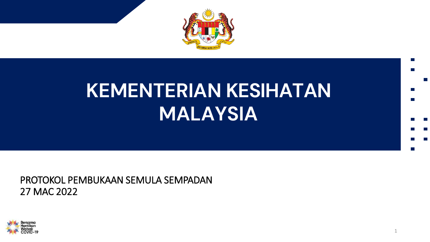

## **KEMENTERIAN KESIHATAN MALAYSIA**

PROTOKOL PEMBUKAAN SEMULA SEMPADAN 27 MAC 2022

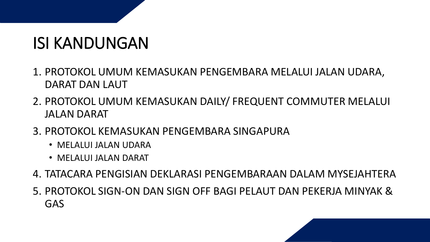## ISI KANDUNGAN

- 1. PROTOKOL UMUM KEMASUKAN PENGEMBARA MELALUI JALAN UDARA, DARAT DAN LAUT
- 2. PROTOKOL UMUM KEMASUKAN DAILY/ FREQUENT COMMUTER MELALUI JALAN DARAT
- 3. PROTOKOL KEMASUKAN PENGEMBARA SINGAPURA
	- MELALUI JALAN UDARA
	- MELALUI JALAN DARAT
- 4. TATACARA PENGISIAN DEKLARASI PENGEMBARAAN DALAM MYSEJAHTERA
- 5. PROTOKOL SIGN-ON DAN SIGN OFF BAGI PELAUT DAN PEKERJA MINYAK & GAS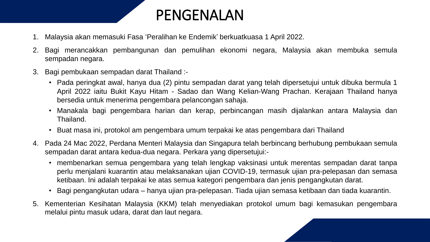

- 1. Malaysia akan memasuki Fasa 'Peralihan ke Endemik' berkuatkuasa 1 April 2022.
- 2. Bagi merancakkan pembangunan dan pemulihan ekonomi negara, Malaysia akan membuka semula sempadan negara.
- 3. Bagi pembukaan sempadan darat Thailand :-
	- Pada peringkat awal, hanya dua (2) pintu sempadan darat yang telah dipersetujui untuk dibuka bermula 1 April 2022 iaitu Bukit Kayu Hitam - Sadao dan Wang Kelian-Wang Prachan. Kerajaan Thailand hanya bersedia untuk menerima pengembara pelancongan sahaja.
	- Manakala bagi pengembara harian dan kerap, perbincangan masih dijalankan antara Malaysia dan Thailand.
	- Buat masa ini, protokol am pengembara umum terpakai ke atas pengembara dari Thailand
- 4. Pada 24 Mac 2022, Perdana Menteri Malaysia dan Singapura telah berbincang berhubung pembukaan semula sempadan darat antara kedua-dua negara. Perkara yang dipersetujui:-
	- membenarkan semua pengembara yang telah lengkap vaksinasi untuk merentas sempadan darat tanpa perlu menjalani kuarantin atau melaksanakan ujian COVID-19, termasuk ujian pra-pelepasan dan semasa ketibaan. Ini adalah terpakai ke atas semua kategori pengembara dan jenis pengangkutan darat.
	- Bagi pengangkutan udara hanya ujian pra-pelepasan. Tiada ujian semasa ketibaan dan tiada kuarantin.
- 5. Kementerian Kesihatan Malaysia (KKM) telah menyediakan protokol umum bagi kemasukan pengembara melalui pintu masuk udara, darat dan laut negara.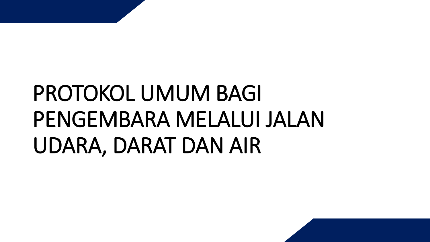# PROTOKOL UMUM BAGI PENGEMBARA MELALUI JALAN UDARA, DARAT DAN AIR

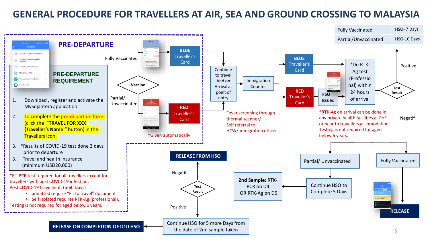### **GENERAL PROCEDURE FOR TRAVELLERS AT AIR, SEA AND GROUND CROSSING TO MALAYSIA**

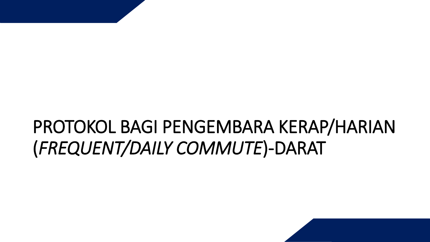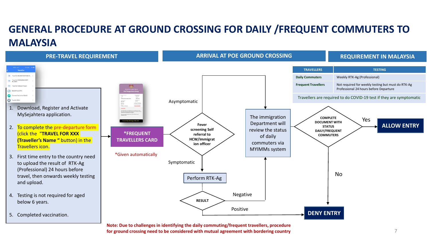## **GENERAL PROCEDURE AT GROUND CROSSING FOR DAILY /FREQUENT COMMUTERS TO MALAYSIA**



**Note: Due to challenges in identifying the daily commuting/frequent travellers, procedure for ground crossing need to be considered with mutual agreement with bordering country**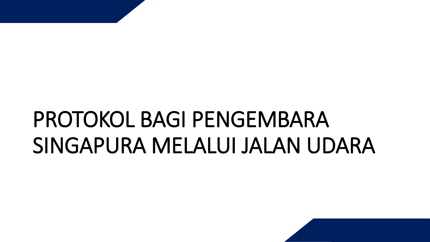# PROTOKOL BAGI PENGEMBARA SINGAPURA MELALUI JALAN UDARA

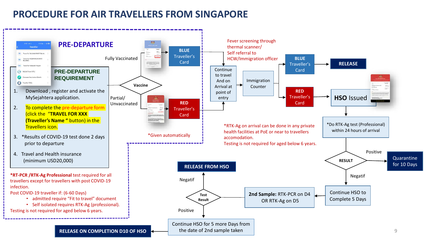### **PROCEDURE FOR AIR TRAVELLERS FROM SINGAPORE**

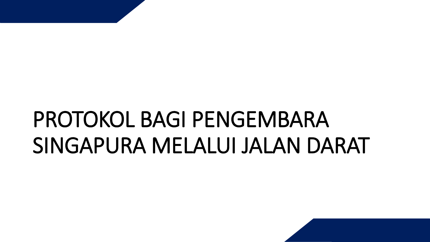# PROTOKOL BAGI PENGEMBARA SINGAPURA MELALUI JALAN DARAT

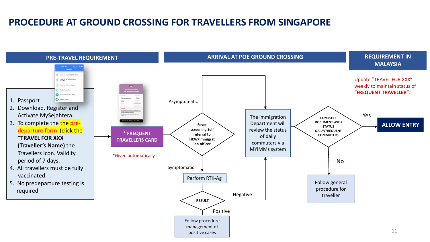### **PROCEDURE AT GROUND CROSSING FOR TRAVELLERS FROM SINGAPORE**

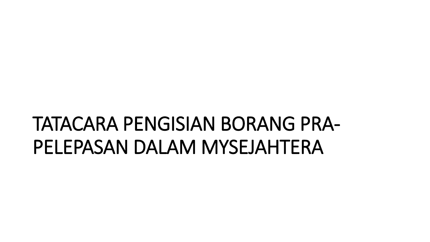## TATACARA PENGISIAN BORANG PRA-PELEPASAN DALAM MYSEJAHTERA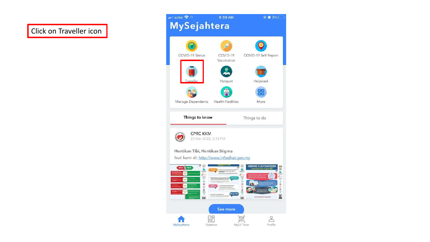### Click on Traveller icon

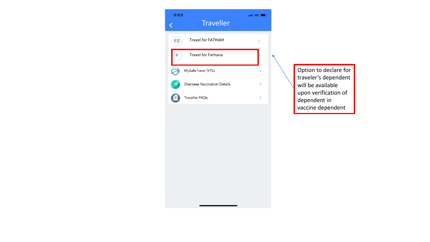

Option to declare for traveler's dependent upon verification of vaccine dependent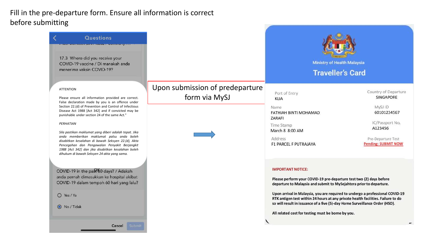### Fill in the pre-departure form. Ensure all information is correct before submitting

| <b>Questions</b><br>17.3 Where did you receive your<br>COVID-19 vaccine / Di manakah anda<br>menerima vaksin COVID-19?                                                                                                                                                                                                                                                                                                                                                                                                                            |                                                  | Ministry of Health Malaysia<br><b>Traveller's Card</b>                                                                                                                                                                                                                                                                                                                                                                                                                           |                                                                                                          |
|---------------------------------------------------------------------------------------------------------------------------------------------------------------------------------------------------------------------------------------------------------------------------------------------------------------------------------------------------------------------------------------------------------------------------------------------------------------------------------------------------------------------------------------------------|--------------------------------------------------|----------------------------------------------------------------------------------------------------------------------------------------------------------------------------------------------------------------------------------------------------------------------------------------------------------------------------------------------------------------------------------------------------------------------------------------------------------------------------------|----------------------------------------------------------------------------------------------------------|
| <b>ATTENTION</b><br>Please ensure all information provided are correct.                                                                                                                                                                                                                                                                                                                                                                                                                                                                           | Upon submission of predeparture<br>form via MySJ | Port of Entry<br><b>KLIA</b>                                                                                                                                                                                                                                                                                                                                                                                                                                                     | Country of Departure<br>SINGAPORE                                                                        |
| False declaration made by you is an offence under<br>Section 22.(d) of Prevention and Control of Infectious<br>Disease Act 1988 [Act 342] and if convicted may be<br>punishable under section 24 of the same Act."<br>PERHATIAN<br>Sila pastikan maklumat yang diberi adalah tepat. Jika<br>anda memberikan maklumat palsu anda boleh<br>disabitkan kesalahan di bawah Seksyen 22.(d), Akta<br>Pencegahan dan Pengawalan Penyakit Berjangkit<br>1988 [Act 342] dan jika disabitkan kesalahan boleh<br>dihukum di bawah Seksyen 24 akta yang sama. |                                                  | Name<br><b>FATHIAH BINTI MOHAMAD</b><br>ZARAFI<br>Time Stamp<br>March 8 8:00 AM<br>Address<br><b>F1 PARCEL F PUTRAJAYA</b>                                                                                                                                                                                                                                                                                                                                                       | MySJ ID<br>60101234567<br>IC/Passport No.<br>A123456<br>Pre-Departure Test<br><b>Pending: SUBMIT NOW</b> |
| COVID-19 in the pa $\mathcal{R}$ 60 days? / Adakah<br>anda pernah dimasukkan ke hospital akibat<br>COVID-19 dalam tempoh 60 hari yang lalu?<br>O Yes / Ya<br>No / Tidak                                                                                                                                                                                                                                                                                                                                                                           |                                                  | <b>IMPORTANT NOTICE:</b><br>Please perform your COVID-19 pre-departure test two (2) days before<br>departure to Malaysia and submit to MySejahtera prior to departure.<br>Upon arrival in Malaysia, you are required to undergo a professional COVID-19<br>RTK antigen test within 24 hours at any private health facilities. Failure to do<br>so will result in issuance of a five (5)-day Home Surveillance Order (HSO).<br>All related cost for testing must be borne by you. |                                                                                                          |
| Cancel<br>Submit                                                                                                                                                                                                                                                                                                                                                                                                                                                                                                                                  |                                                  |                                                                                                                                                                                                                                                                                                                                                                                                                                                                                  |                                                                                                          |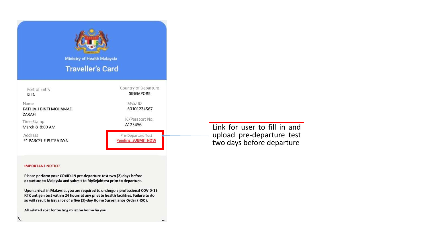

#### **IMPORTANT NOTICE:**

Please perform your COVID-19 pre-departure test two (2) days before departure to Malaysia and submit to MySejahtera prior to departure.

Upon arrival in Malaysia, you are required to undergo a professional COVID-19 RTK antigen test within 24 hours at any private health facilities. Failure to do so will result in issuance of a five (5)-day Home Surveillance Order (HSO).

All related cost for testing must be borne by you.

upload pre-departure test<br>two days before departure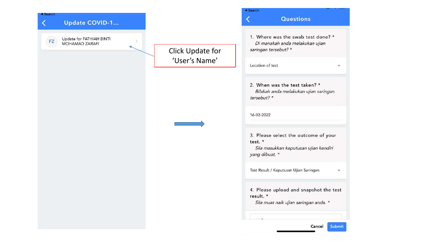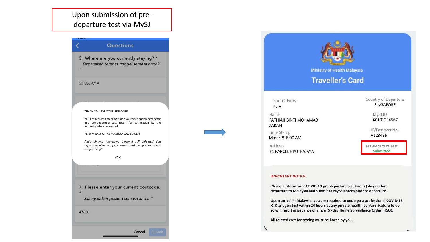Upon submission of predeparture test via MySJ

#### Questions

5. Where are you currently staying? \* Dimanakah tempat tinggal semasa anda?

#### 23 USJ 4/1A

THANK YOU FOR YOUR RESPONSE.

You are required to bring along your vaccination certificate and pre-departure test result for verification by the authority when requested.

TERIMA KASIH ATAS MAKLUM BALAS ANDA

Anda diminta membawa bersama sijil vaksinasi dan keputusan ujian pra-perlepasan untuk pengesahan pihak yang berwajib.

OK

7. Please enter your current postcode. Sila nyatakan poskod semasa anda. \*

47620



Ministry of Health Malaysia

**Traveller's Card** 

Port of Entry **KLIA** 

Name FATHIAH BINTI MOHAMAD ZARAFI

Time Stamp March 8 8:00 AM

Address F1 PARCEL F PUTRAJAYA Country of Departure SINGAPORE

> MySJ ID 60101234567

IC/Passport No. A123456

Pre-Departure Test Submitted

#### **IMPORTANT NOTICE:**

Please perform your COVID-19 pre-departure test two (2) days before departure to Malaysia and submit to MySejahtera prior to departure.

Upon arrival in Malaysia, you are required to undergo a professional COVID-19 RTK antigen test within 24 hours at any private health facilities. Failure to do so will result in issuance of a five (5)-day Home Surveillance Order (HSO).

All related cost for testing must be borne by you.

**Cancel** Submi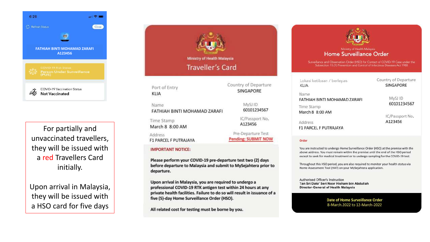

For partially and unvaccinated travellers, they will be issued with a red Travellers Card initially.

Upon arrival in Malaysia, they will be issued with a HSO card for five days



Name FATHIAH BINTI MOHAMAD ZARAFI Time Stamp March 8 8:00 AM

Address **F1 PARCEL F PUTRAJAYA** 

#### **IMPORTANT NOTICE:**

Please perform your COVID-19 pre-departure test two (2) days before departure to Malaysia and submit to MySejahtera prior to departure.

Upon arrival in Malaysia, you are required to undergo a professional COVID-19 RTK antigen test within 24 hours at any private health facilities. Failure to do so will result in issuance of a five (5)-day Home Surveillance Order (HSO).

All related cost for testing must be borne by you.



#### Ministry of Health Malaysia Home Surveillance Order

Surveillance and Observation Order (HSO) for Contact of COVID-19 Case under the Subsection 15.(1) Prevention and Control of Infectious Diseases Act 1988

| <b>SINGAPORE</b> |
|------------------|
|                  |
| MySJ ID          |
| 60101234567      |
|                  |
| IC/Passport No.  |
| A123456          |
|                  |
|                  |

Order

60101234567

IC/Passport No.

A123456

Pre-Departure Test

**Pending: SUBMIT NOW** 

You are instructed to undergo Home Surveillance Order (HSO) at the premise with the above address. You must remain within the premise until the end of the HSO period except to seek for medical treatment or to undergo sampling for the COVID-19 test.

Throughout this HSO period, you are also required to monitor your health status via Home Assessment Tool (HAT) on your MySejahtera application.

Authorised Officer's Instruction Tan Sri Dato' Seri Noor Hisham bin Abdullah Director-General of Health Malaysia

> **Date of Home Surveillance Order** 8-March.2022 to 12-March-2022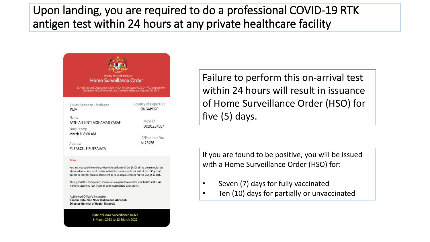## Upon landing, you are required to do a professional COVID-19 RTK antigen test within 24 hours at any private healthcare facility

| Ministry of Health Malaysia<br><b>Home Surveillance Order</b>                                                                                               |                                          |  |  |
|-------------------------------------------------------------------------------------------------------------------------------------------------------------|------------------------------------------|--|--|
| Surveillance and Observation Order (HSO) for Contact of COVID-19 Case under the<br>Subsection 15.(1) Prevention and Control of Infectious Diseases Act 1988 |                                          |  |  |
| Lokasi ketibaan / berlepas<br>KIJA                                                                                                                          | Country of Departure<br><b>SINGAPORE</b> |  |  |
| Name<br>FATHIAH BINTI MOHAMAD ZARAFI<br>Time Stamp                                                                                                          | MySJ ID<br>60101234567                   |  |  |
| March 8 8:00 AM<br><b>Address</b>                                                                                                                           | IC/Passport No.<br>A123456               |  |  |
|                                                                                                                                                             |                                          |  |  |

#### Order

You are instructed to undergo Home Surveillance Order (HSO) at the premise with the above address. You must remain within the premise until the end of the HSO period except to seek for medical treatment or to undergo sampling for the COVID-19 test.

Throughout this HSO period, you are also required to monitor your health status via Home Assessment Tool (HAT) on your MySejahtera application.

Authorised Officer's Instruction Tan Sri Dato' Seri Noor Hisham bin Abdullah Director-General of Health Malaysia

> **Date of Home Surveillance Order** 8-March.2022 to 12-March-2022

Failure to perform this on-arrival test within 24 hours will result in issuance of Home Surveillance Order (HSO) for five (5) days.

If you are found to be positive, you will be issued with a Home Surveillance Order (HSO) for:

- Seven (7) days for fully vaccinated
- Ten (10) days for partially or unvaccinated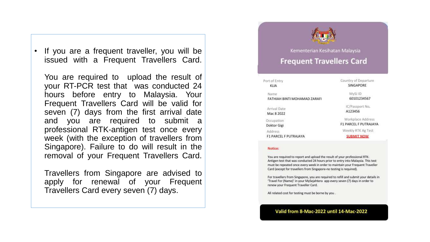If you are a frequent traveller, you will be issued with a Frequent Travellers Card.

You are required to upload the result of your RT-PCR test that was conducted 24 hours before entry to Malaysia. Your Frequent Travellers Card will be valid for seven (7) days from the first arrival date and you are required to submit professional RTK-antigen test once every week (with the exception of travellers from Singapore). Failure to do will result in the removal of your Frequent Travellers Card.

Travellers from Singapore are advised to apply for renewal of your Frequent Travellers Card every seven (7) days.

### Kementerian Kesihatan Malaysia **Frequent Travellers Card**

#### Port of Entry KLIA

Name FATHIAH BINTI MOHAMAD ZARAFI Country of Departure SINGAPORE

> MySJ.ID 60101234567

Arrival Date

Mac 8 2022

Occupation Doktor Gigi

Address

**F1 PARCEL F PUTRAJAYA** 

IC/Passport No.

A123456

Workplace Address F1 PARCEL F PUTRAJAYA

Weekly RTK Ag Test

**SUBMIT NOW** 

#### Notice:

You are required to report and upload the result of your professional RTK-Antigen test that was conducted 24 hours prior to entry into Malaysia. This test must be repeated once every week in order to maintain your Frequent Traveller Card (except for travellers from Singapore-no testing is required).

For travellers from Singapore, you are required to refill and submit your details in 'Travel For (Name)' in your MySejahtera app every seven (7) days in order to renew your Frequent Traveller Card.

All related cost for testing must be borne by you.

#### Valid from 8-Mac-2022 until 14-Mac-2022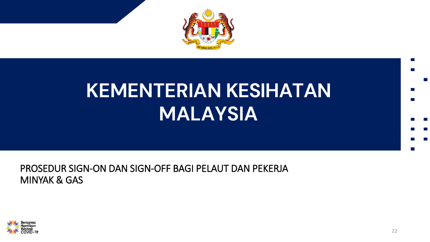

## **KEMENTERIAN KESIHATAN MALAYSIA**

### PROSEDUR SIGN-ON DAN SIGN-OFF BAGI PELAUT DAN PEKERJA **MINYAK & GAS**

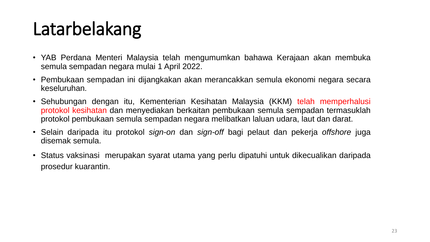## Latarbelakang

- YAB Perdana Menteri Malaysia telah mengumumkan bahawa Kerajaan akan membuka semula sempadan negara mulai 1 April 2022.
- Pembukaan sempadan ini dijangkakan akan merancakkan semula ekonomi negara secara keseluruhan.
- Sehubungan dengan itu, Kementerian Kesihatan Malaysia (KKM) telah memperhalusi protokol kesihatan dan menyediakan berkaitan pembukaan semula sempadan termasuklah protokol pembukaan semula sempadan negara melibatkan laluan udara, laut dan darat.
- Selain daripada itu protokol *sign-on* dan *sign-off* bagi pelaut dan pekerja *offshore* juga disemak semula.
- Status vaksinasi merupakan syarat utama yang perlu dipatuhi untuk dikecualikan daripada prosedur kuarantin.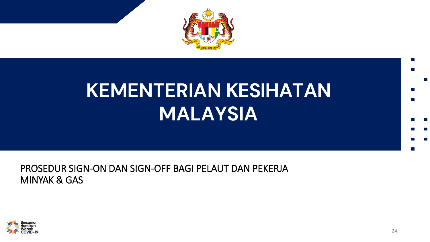

## **KEMENTERIAN KESIHATAN MALAYSIA**

### PROSEDUR SIGN-ON DAN SIGN-OFF BAGI PELAUT DAN PEKERJA **MINYAK & GAS**

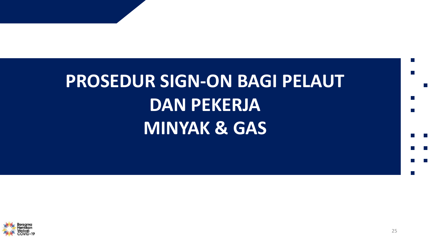# PROSEDUR SIGN-ON BAGI PELAUT **DAN PEKERJA MINYAK & GAS**

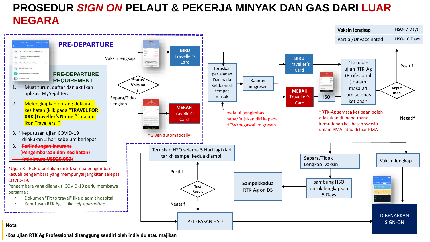## **PROSEDUR** *SIGN ON* **PELAUT & PEKERJA MINYAK DAN GAS DARI LUAR NEGARA**

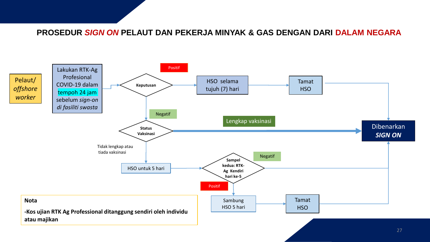### **PROSEDUR** *SIGN ON* **PELAUT DAN PEKERJA MINYAK & GAS DENGAN DARI DALAM NEGARA**

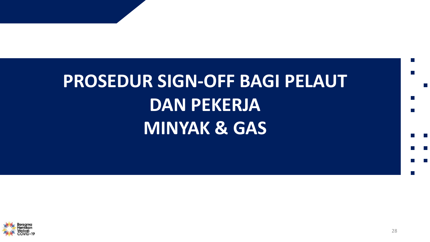# PROSEDUR SIGN-OFF BAGI PELAUT **DAN PEKERJA MINYAK & GAS**

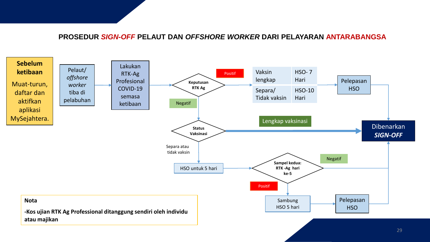### **PROSEDUR** *SIGN-OFF* **PELAUT DAN** *OFFSHORE WORKER* **DARI PELAYARAN ANTARABANGSA**

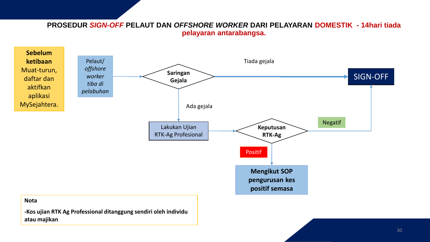**PROSEDUR** *SIGN-OFF* **PELAUT DAN** *OFFSHORE WORKER* **DARI PELAYARAN DOMESTIK - 14hari tiada pelayaran antarabangsa.**



**-Kos ujian RTK Ag Professional ditanggung sendiri oleh individu atau majikan**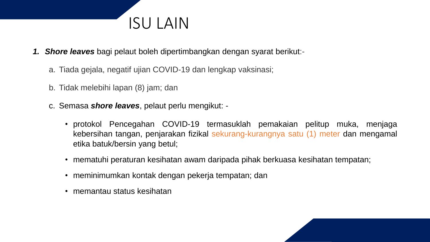

- *1. Shore leaves* bagi pelaut boleh dipertimbangkan dengan syarat berikut:
	- a. Tiada gejala, negatif ujian COVID-19 dan lengkap vaksinasi;
	- b. Tidak melebihi lapan (8) jam; dan
	- c. Semasa *shore leaves*, pelaut perlu mengikut:
		- protokol Pencegahan COVID-19 termasuklah pemakaian pelitup muka, menjaga kebersihan tangan, penjarakan fizikal sekurang-kurangnya satu (1) meter dan mengamal etika batuk/bersin yang betul;
		- mematuhi peraturan kesihatan awam daripada pihak berkuasa kesihatan tempatan;
		- meminimumkan kontak dengan pekerja tempatan; dan
		- memantau status kesihatan